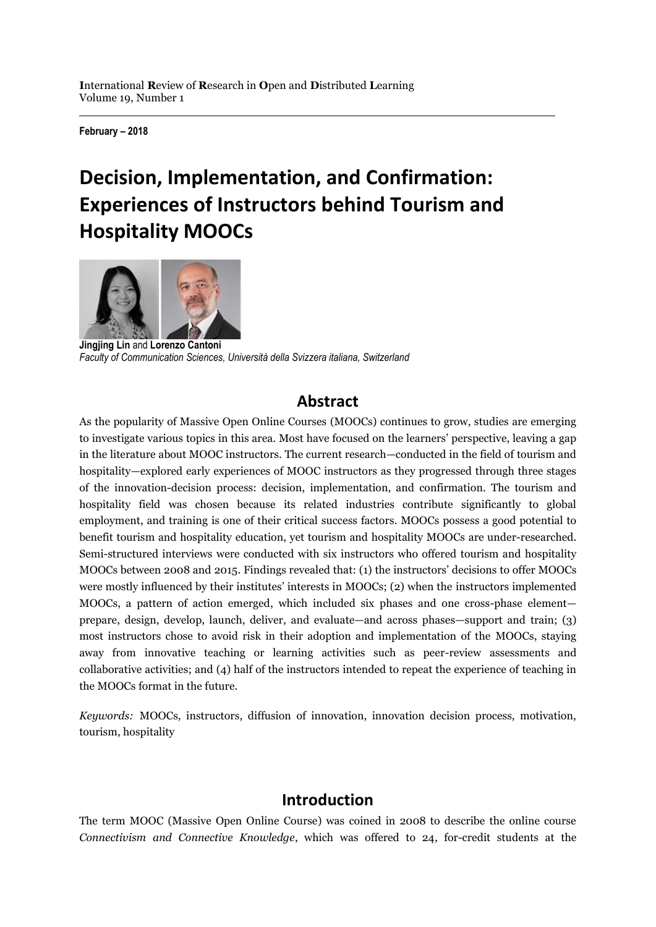**February – 2018**

# **Decision, Implementation, and Confirmation: Experiences of Instructors behind Tourism and Hospitality MOOCs**



**Jingjing Lin** and **Lorenzo Cantoni** *Faculty of Communication Sciences, Università della Svizzera italiana, Switzerland*

### **Abstract**

As the popularity of Massive Open Online Courses (MOOCs) continues to grow, studies are emerging to investigate various topics in this area. Most have focused on the learners' perspective, leaving a gap in the literature about MOOC instructors. The current research—conducted in the field of tourism and hospitality—explored early experiences of MOOC instructors as they progressed through three stages of the innovation-decision process: decision, implementation, and confirmation. The tourism and hospitality field was chosen because its related industries contribute significantly to global employment, and training is one of their critical success factors. MOOCs possess a good potential to benefit tourism and hospitality education, yet tourism and hospitality MOOCs are under-researched. Semi-structured interviews were conducted with six instructors who offered tourism and hospitality MOOCs between 2008 and 2015. Findings revealed that: (1) the instructors' decisions to offer MOOCs were mostly influenced by their institutes' interests in MOOCs; (2) when the instructors implemented MOOCs, a pattern of action emerged, which included six phases and one cross-phase element prepare, design, develop, launch, deliver, and evaluate—and across phases—support and train; (3) most instructors chose to avoid risk in their adoption and implementation of the MOOCs, staying away from innovative teaching or learning activities such as peer-review assessments and collaborative activities; and (4) half of the instructors intended to repeat the experience of teaching in the MOOCs format in the future.

*Keywords:* MOOCs, instructors, diffusion of innovation, innovation decision process, motivation, tourism, hospitality

# **Introduction**

The term MOOC (Massive Open Online Course) was coined in 2008 to describe the online course *Connectivism and Connective Knowledge*, which was offered to 24, for-credit students at the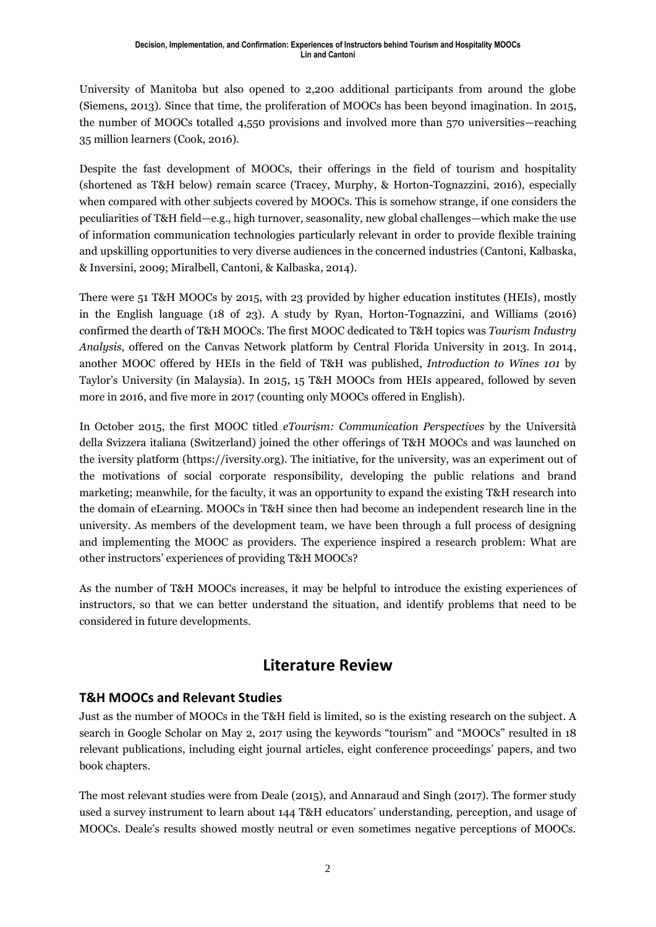University of Manitoba but also opened to 2,200 additional participants from around the globe (Siemens, 2013). Since that time, the proliferation of MOOCs has been beyond imagination. In 2015, the number of MOOCs totalled 4,550 provisions and involved more than 570 universities—reaching 35 million learners (Cook, 2016).

Despite the fast development of MOOCs, their offerings in the field of tourism and hospitality (shortened as T&H below) remain scarce (Tracey, Murphy, & Horton-Tognazzini, 2016), especially when compared with other subjects covered by MOOCs. This is somehow strange, if one considers the peculiarities of T&H field—e.g., high turnover, seasonality, new global challenges—which make the use of information communication technologies particularly relevant in order to provide flexible training and upskilling opportunities to very diverse audiences in the concerned industries (Cantoni, Kalbaska, & Inversini, 2009; Miralbell, Cantoni, & Kalbaska, 2014).

There were 51 T&H MOOCs by 2015, with 23 provided by higher education institutes (HEIs), mostly in the English language (18 of 23). A study by Ryan, Horton-Tognazzini, and Williams (2016) confirmed the dearth of T&H MOOCs. The first MOOC dedicated to T&H topics was *Tourism Industry Analysis*, offered on the Canvas Network platform by Central Florida University in 2013. In 2014, another MOOC offered by HEIs in the field of T&H was published, *Introduction to Wines 101* by Taylor's University (in Malaysia)*.* In 2015, 15 T&H MOOCs from HEIs appeared, followed by seven more in 2016, and five more in 2017 (counting only MOOCs offered in English).

In October 2015, the first MOOC titled *eTourism: Communication Perspectives* by the Università della Svizzera italiana (Switzerland) joined the other offerings of T&H MOOCs and was launched on the iversity platform (https://iversity.org). The initiative, for the university, was an experiment out of the motivations of social corporate responsibility, developing the public relations and brand marketing; meanwhile, for the faculty, it was an opportunity to expand the existing T&H research into the domain of eLearning. MOOCs in T&H since then had become an independent research line in the university. As members of the development team, we have been through a full process of designing and implementing the MOOC as providers. The experience inspired a research problem: What are other instructors' experiences of providing T&H MOOCs?

As the number of T&H MOOCs increases, it may be helpful to introduce the existing experiences of instructors, so that we can better understand the situation, and identify problems that need to be considered in future developments.

# **Literature Review**

#### **T&H MOOCs and Relevant Studies**

Just as the number of MOOCs in the T&H field is limited, so is the existing research on the subject. A search in Google Scholar on May 2, 2017 using the keywords "tourism" and "MOOCs" resulted in 18 relevant publications, including eight journal articles, eight conference proceedings' papers, and two book chapters.

The most relevant studies were from Deale (2015), and Annaraud and Singh (2017). The former study used a survey instrument to learn about 144 T&H educators' understanding, perception, and usage of MOOCs. Deale's results showed mostly neutral or even sometimes negative perceptions of MOOCs.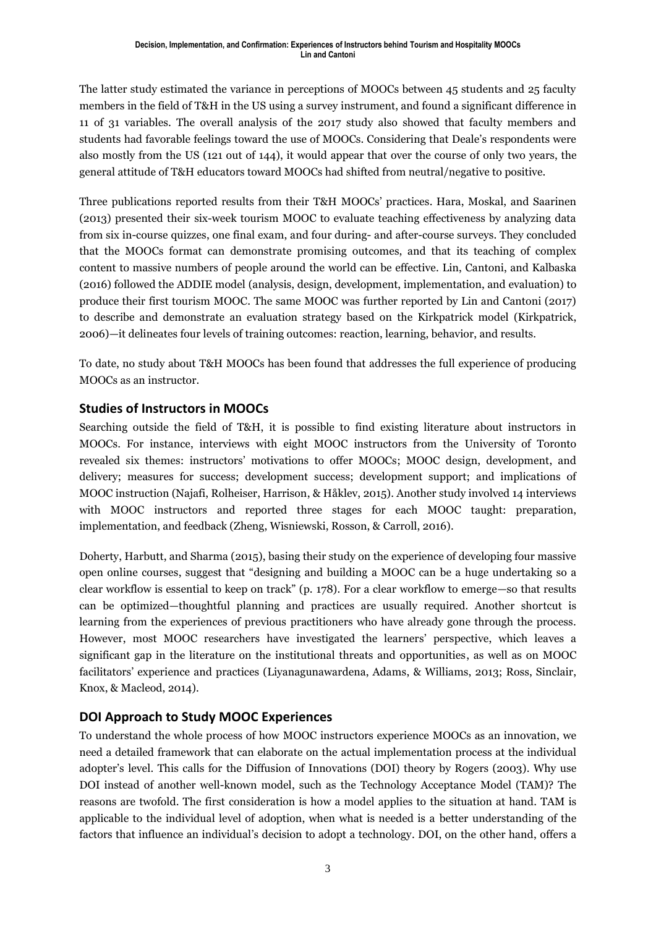The latter study estimated the variance in perceptions of MOOCs between 45 students and 25 faculty members in the field of T&H in the US using a survey instrument, and found a significant difference in 11 of 31 variables. The overall analysis of the 2017 study also showed that faculty members and students had favorable feelings toward the use of MOOCs. Considering that Deale's respondents were also mostly from the US (121 out of 144), it would appear that over the course of only two years, the general attitude of T&H educators toward MOOCs had shifted from neutral/negative to positive.

Three publications reported results from their T&H MOOCs' practices. Hara, Moskal, and Saarinen (2013) presented their six-week tourism MOOC to evaluate teaching effectiveness by analyzing data from six in-course quizzes, one final exam, and four during- and after-course surveys. They concluded that the MOOCs format can demonstrate promising outcomes, and that its teaching of complex content to massive numbers of people around the world can be effective. Lin, Cantoni, and Kalbaska (2016) followed the ADDIE model (analysis, design, development, implementation, and evaluation) to produce their first tourism MOOC. The same MOOC was further reported by Lin and Cantoni (2017) to describe and demonstrate an evaluation strategy based on the Kirkpatrick model (Kirkpatrick, 2006)—it delineates four levels of training outcomes: reaction, learning, behavior, and results.

To date, no study about T&H MOOCs has been found that addresses the full experience of producing MOOCs as an instructor.

#### **Studies of Instructors in MOOCs**

Searching outside the field of T&H, it is possible to find existing literature about instructors in MOOCs. For instance, interviews with eight MOOC instructors from the University of Toronto revealed six themes: instructors' motivations to offer MOOCs; MOOC design, development, and delivery; measures for success; development success; development support; and implications of MOOC instruction (Najafi, Rolheiser, Harrison, & Håklev, 2015). Another study involved 14 interviews with MOOC instructors and reported three stages for each MOOC taught: preparation, implementation, and feedback (Zheng, Wisniewski, Rosson, & Carroll, 2016).

Doherty, Harbutt, and Sharma (2015), basing their study on the experience of developing four massive open online courses, suggest that "designing and building a MOOC can be a huge undertaking so a clear workflow is essential to keep on track" (p. 178). For a clear workflow to emerge—so that results can be optimized—thoughtful planning and practices are usually required. Another shortcut is learning from the experiences of previous practitioners who have already gone through the process. However, most MOOC researchers have investigated the learners' perspective, which leaves a significant gap in the literature on the institutional threats and opportunities, as well as on MOOC facilitators' experience and practices (Liyanagunawardena, Adams, & Williams, 2013; Ross, Sinclair, Knox, & Macleod, 2014).

### **DOI Approach to Study MOOC Experiences**

To understand the whole process of how MOOC instructors experience MOOCs as an innovation, we need a detailed framework that can elaborate on the actual implementation process at the individual adopter's level. This calls for the Diffusion of Innovations (DOI) theory by Rogers (2003). Why use DOI instead of another well-known model, such as the Technology Acceptance Model (TAM)? The reasons are twofold. The first consideration is how a model applies to the situation at hand. TAM is applicable to the individual level of adoption, when what is needed is a better understanding of the factors that influence an individual's decision to adopt a technology. DOI, on the other hand, offers a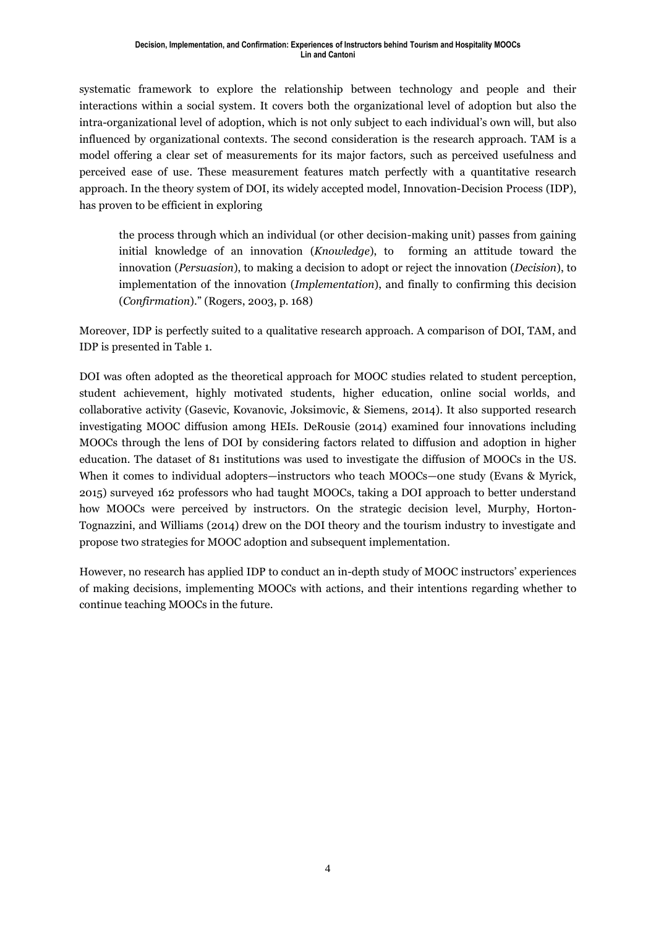systematic framework to explore the relationship between technology and people and their interactions within a social system. It covers both the organizational level of adoption but also the intra-organizational level of adoption, which is not only subject to each individual's own will, but also influenced by organizational contexts. The second consideration is the research approach. TAM is a model offering a clear set of measurements for its major factors, such as perceived usefulness and perceived ease of use. These measurement features match perfectly with a quantitative research approach. In the theory system of DOI, its widely accepted model, Innovation-Decision Process (IDP), has proven to be efficient in exploring

the process through which an individual (or other decision-making unit) passes from gaining initial knowledge of an innovation (*Knowledge*), to forming an attitude toward the innovation (*Persuasion*), to making a decision to adopt or reject the innovation (*Decision*), to implementation of the innovation (*Implementation*), and finally to confirming this decision (*Confirmation*)." (Rogers, 2003, p. 168)

Moreover, IDP is perfectly suited to a qualitative research approach. A comparison of DOI, TAM, and IDP is presented in Table 1.

DOI was often adopted as the theoretical approach for MOOC studies related to student perception, student achievement, highly motivated students, higher education, online social worlds, and collaborative activity (Gasevic, Kovanovic, Joksimovic, & Siemens, 2014). It also supported research investigating MOOC diffusion among HEIs. DeRousie (2014) examined four innovations including MOOCs through the lens of DOI by considering factors related to diffusion and adoption in higher education. The dataset of 81 institutions was used to investigate the diffusion of MOOCs in the US. When it comes to individual adopters—instructors who teach MOOCs—one study (Evans & Myrick, 2015) surveyed 162 professors who had taught MOOCs, taking a DOI approach to better understand how MOOCs were perceived by instructors. On the strategic decision level, Murphy, Horton-Tognazzini, and Williams (2014) drew on the DOI theory and the tourism industry to investigate and propose two strategies for MOOC adoption and subsequent implementation.

However, no research has applied IDP to conduct an in-depth study of MOOC instructors' experiences of making decisions, implementing MOOCs with actions, and their intentions regarding whether to continue teaching MOOCs in the future.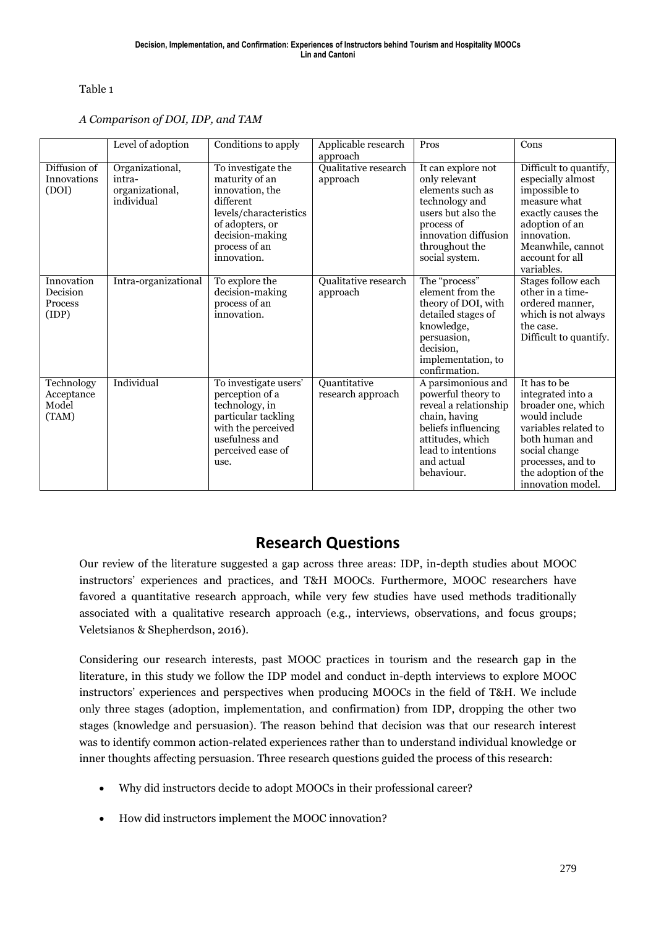#### Table 1

#### *A Comparison of DOI, IDP, and TAM*

|                                            | Level of adoption                                          | Conditions to apply                                                                                                                                                  | Applicable research<br>approach   | Pros                                                                                                                                                                            | Cons                                                                                                                                                                                                 |
|--------------------------------------------|------------------------------------------------------------|----------------------------------------------------------------------------------------------------------------------------------------------------------------------|-----------------------------------|---------------------------------------------------------------------------------------------------------------------------------------------------------------------------------|------------------------------------------------------------------------------------------------------------------------------------------------------------------------------------------------------|
| Diffusion of<br>Innovations<br>(DOI)       | Organizational,<br>intra-<br>organizational,<br>individual | To investigate the<br>maturity of an<br>innovation, the<br>different<br>levels/characteristics<br>of adopters, or<br>decision-making<br>process of an<br>innovation. | Qualitative research<br>approach  | It can explore not<br>only relevant<br>elements such as<br>technology and<br>users but also the<br>process of<br>innovation diffusion<br>throughout the<br>social system.       | Difficult to quantify,<br>especially almost<br>impossible to<br>measure what<br>exactly causes the<br>adoption of an<br>innovation.<br>Meanwhile, cannot<br>account for all<br>variables.            |
| Innovation<br>Decision<br>Process<br>(IDP) | Intra-organizational                                       | To explore the<br>decision-making<br>process of an<br>innovation.                                                                                                    | Qualitative research<br>approach  | The "process"<br>element from the<br>theory of DOI, with<br>detailed stages of<br>knowledge,<br>persuasion,<br>decision,<br>implementation, to<br>confirmation.                 | Stages follow each<br>other in a time-<br>ordered manner,<br>which is not always<br>the case.<br>Difficult to quantify.                                                                              |
| Technology<br>Acceptance<br>Model<br>(TAM) | Individual                                                 | To investigate users'<br>perception of a<br>technology, in<br>particular tackling<br>with the perceived<br>usefulness and<br>perceived ease of<br>use.               | Quantitative<br>research approach | A parsimonious and<br>powerful theory to<br>reveal a relationship<br>chain, having<br>beliefs influencing<br>attitudes, which<br>lead to intentions<br>and actual<br>behaviour. | It has to be<br>integrated into a<br>broader one, which<br>would include<br>variables related to<br>both human and<br>social change<br>processes, and to<br>the adoption of the<br>innovation model. |

# **Research Questions**

Our review of the literature suggested a gap across three areas: IDP, in-depth studies about MOOC instructors' experiences and practices, and T&H MOOCs. Furthermore, MOOC researchers have favored a quantitative research approach, while very few studies have used methods traditionally associated with a qualitative research approach (e.g., interviews, observations, and focus groups; Veletsianos & Shepherdson, 2016).

Considering our research interests, past MOOC practices in tourism and the research gap in the literature, in this study we follow the IDP model and conduct in-depth interviews to explore MOOC instructors' experiences and perspectives when producing MOOCs in the field of T&H. We include only three stages (adoption, implementation, and confirmation) from IDP, dropping the other two stages (knowledge and persuasion). The reason behind that decision was that our research interest was to identify common action-related experiences rather than to understand individual knowledge or inner thoughts affecting persuasion. Three research questions guided the process of this research:

- Why did instructors decide to adopt MOOCs in their professional career?
- How did instructors implement the MOOC innovation?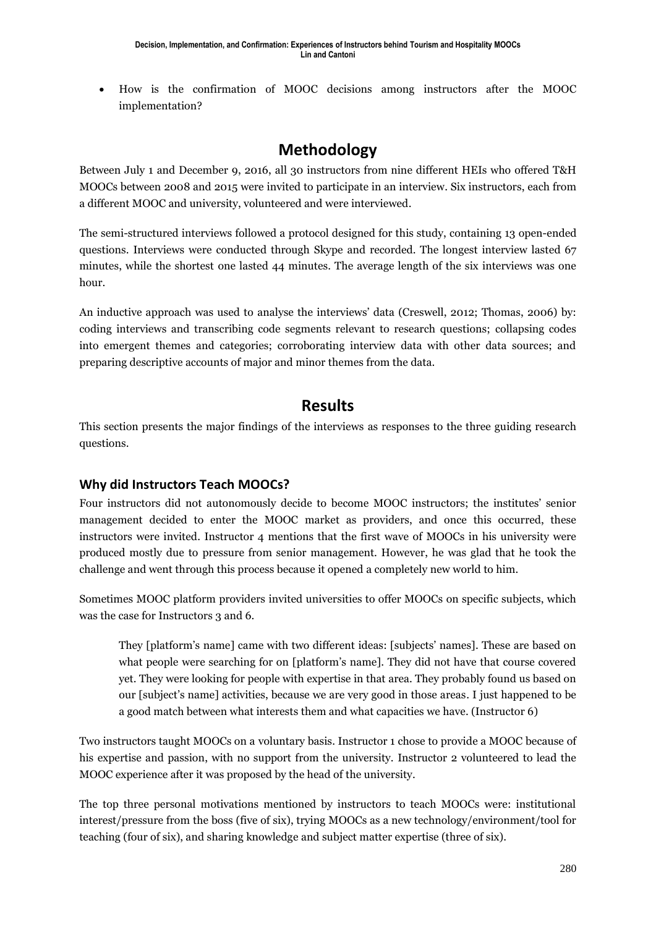How is the confirmation of MOOC decisions among instructors after the MOOC implementation?

# **Methodology**

Between July 1 and December 9, 2016, all 30 instructors from nine different HEIs who offered T&H MOOCs between 2008 and 2015 were invited to participate in an interview. Six instructors, each from a different MOOC and university, volunteered and were interviewed.

The semi-structured interviews followed a protocol designed for this study, containing 13 open-ended questions. Interviews were conducted through Skype and recorded. The longest interview lasted 67 minutes, while the shortest one lasted 44 minutes. The average length of the six interviews was one hour.

An inductive approach was used to analyse the interviews' data (Creswell, 2012; Thomas, 2006) by: coding interviews and transcribing code segments relevant to research questions; collapsing codes into emergent themes and categories; corroborating interview data with other data sources; and preparing descriptive accounts of major and minor themes from the data.

# **Results**

This section presents the major findings of the interviews as responses to the three guiding research questions.

#### **Why did Instructors Teach MOOCs?**

Four instructors did not autonomously decide to become MOOC instructors; the institutes' senior management decided to enter the MOOC market as providers, and once this occurred, these instructors were invited. Instructor 4 mentions that the first wave of MOOCs in his university were produced mostly due to pressure from senior management. However, he was glad that he took the challenge and went through this process because it opened a completely new world to him.

Sometimes MOOC platform providers invited universities to offer MOOCs on specific subjects, which was the case for Instructors 3 and 6.

They [platform's name] came with two different ideas: [subjects' names]. These are based on what people were searching for on [platform's name]. They did not have that course covered yet. They were looking for people with expertise in that area. They probably found us based on our [subject's name] activities, because we are very good in those areas. I just happened to be a good match between what interests them and what capacities we have. (Instructor 6)

Two instructors taught MOOCs on a voluntary basis. Instructor 1 chose to provide a MOOC because of his expertise and passion, with no support from the university. Instructor 2 volunteered to lead the MOOC experience after it was proposed by the head of the university.

The top three personal motivations mentioned by instructors to teach MOOCs were: institutional interest/pressure from the boss (five of six), trying MOOCs as a new technology/environment/tool for teaching (four of six), and sharing knowledge and subject matter expertise (three of six).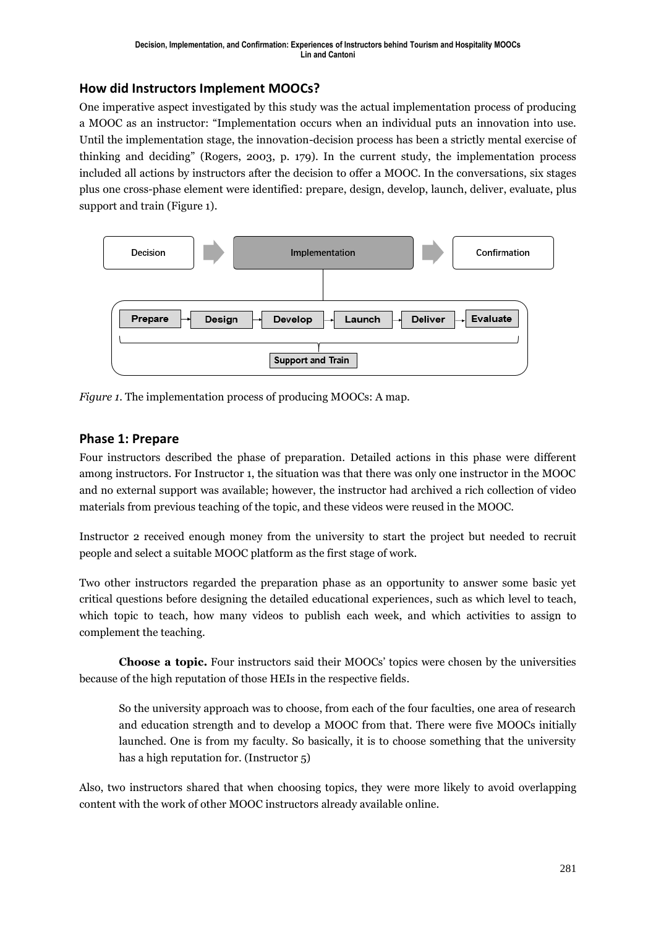#### **How did Instructors Implement MOOCs?**

One imperative aspect investigated by this study was the actual implementation process of producing a MOOC as an instructor: "Implementation occurs when an individual puts an innovation into use. Until the implementation stage, the innovation-decision process has been a strictly mental exercise of thinking and deciding" (Rogers, 2003, p. 179). In the current study, the implementation process included all actions by instructors after the decision to offer a MOOC. In the conversations, six stages plus one cross-phase element were identified: prepare, design, develop, launch, deliver, evaluate, plus support and train (Figure 1).



*Figure 1.* The implementation process of producing MOOCs: A map.

#### **Phase 1: Prepare**

Four instructors described the phase of preparation. Detailed actions in this phase were different among instructors. For Instructor 1, the situation was that there was only one instructor in the MOOC and no external support was available; however, the instructor had archived a rich collection of video materials from previous teaching of the topic, and these videos were reused in the MOOC.

Instructor 2 received enough money from the university to start the project but needed to recruit people and select a suitable MOOC platform as the first stage of work.

Two other instructors regarded the preparation phase as an opportunity to answer some basic yet critical questions before designing the detailed educational experiences, such as which level to teach, which topic to teach, how many videos to publish each week, and which activities to assign to complement the teaching.

**Choose a topic.** Four instructors said their MOOCs' topics were chosen by the universities because of the high reputation of those HEIs in the respective fields.

So the university approach was to choose, from each of the four faculties, one area of research and education strength and to develop a MOOC from that. There were five MOOCs initially launched. One is from my faculty. So basically, it is to choose something that the university has a high reputation for. (Instructor 5)

Also, two instructors shared that when choosing topics, they were more likely to avoid overlapping content with the work of other MOOC instructors already available online.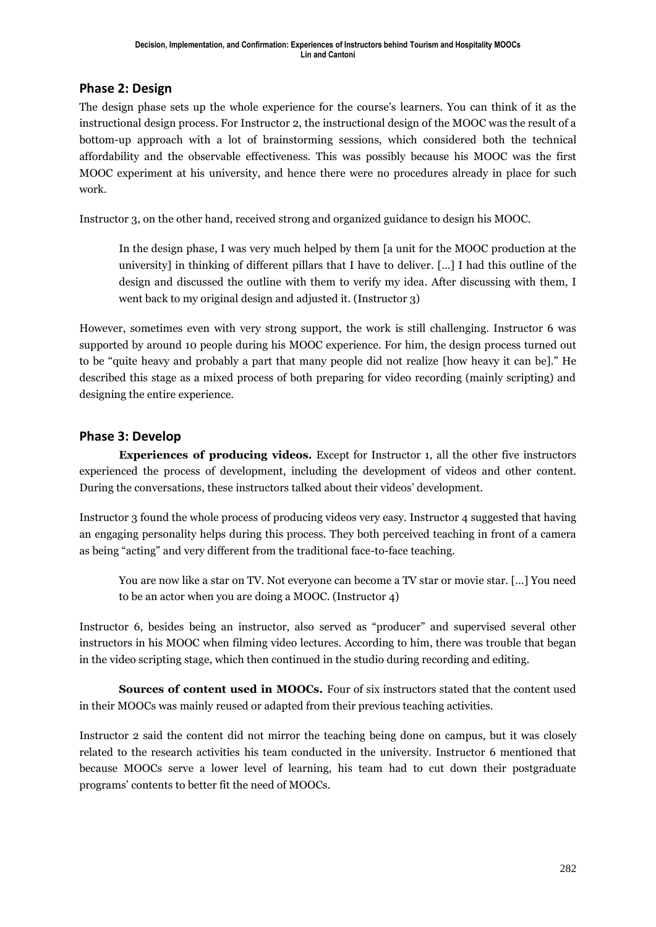#### **Phase 2: Design**

The design phase sets up the whole experience for the course's learners. You can think of it as the instructional design process. For Instructor 2, the instructional design of the MOOC was the result of a bottom-up approach with a lot of brainstorming sessions, which considered both the technical affordability and the observable effectiveness. This was possibly because his MOOC was the first MOOC experiment at his university, and hence there were no procedures already in place for such work.

Instructor 3, on the other hand, received strong and organized guidance to design his MOOC.

In the design phase, I was very much helped by them [a unit for the MOOC production at the university] in thinking of different pillars that I have to deliver. […] I had this outline of the design and discussed the outline with them to verify my idea. After discussing with them, I went back to my original design and adjusted it. (Instructor 3)

However, sometimes even with very strong support, the work is still challenging. Instructor 6 was supported by around 10 people during his MOOC experience. For him, the design process turned out to be "quite heavy and probably a part that many people did not realize [how heavy it can be]." He described this stage as a mixed process of both preparing for video recording (mainly scripting) and designing the entire experience.

#### **Phase 3: Develop**

**Experiences of producing videos.** Except for Instructor 1, all the other five instructors experienced the process of development, including the development of videos and other content. During the conversations, these instructors talked about their videos' development.

Instructor 3 found the whole process of producing videos very easy. Instructor 4 suggested that having an engaging personality helps during this process. They both perceived teaching in front of a camera as being "acting" and very different from the traditional face-to-face teaching.

You are now like a star on TV. Not everyone can become a TV star or movie star. […] You need to be an actor when you are doing a MOOC. (Instructor 4)

Instructor 6, besides being an instructor, also served as "producer" and supervised several other instructors in his MOOC when filming video lectures. According to him, there was trouble that began in the video scripting stage, which then continued in the studio during recording and editing.

**Sources of content used in MOOCs.** Four of six instructors stated that the content used in their MOOCs was mainly reused or adapted from their previous teaching activities.

Instructor 2 said the content did not mirror the teaching being done on campus, but it was closely related to the research activities his team conducted in the university. Instructor 6 mentioned that because MOOCs serve a lower level of learning, his team had to cut down their postgraduate programs' contents to better fit the need of MOOCs.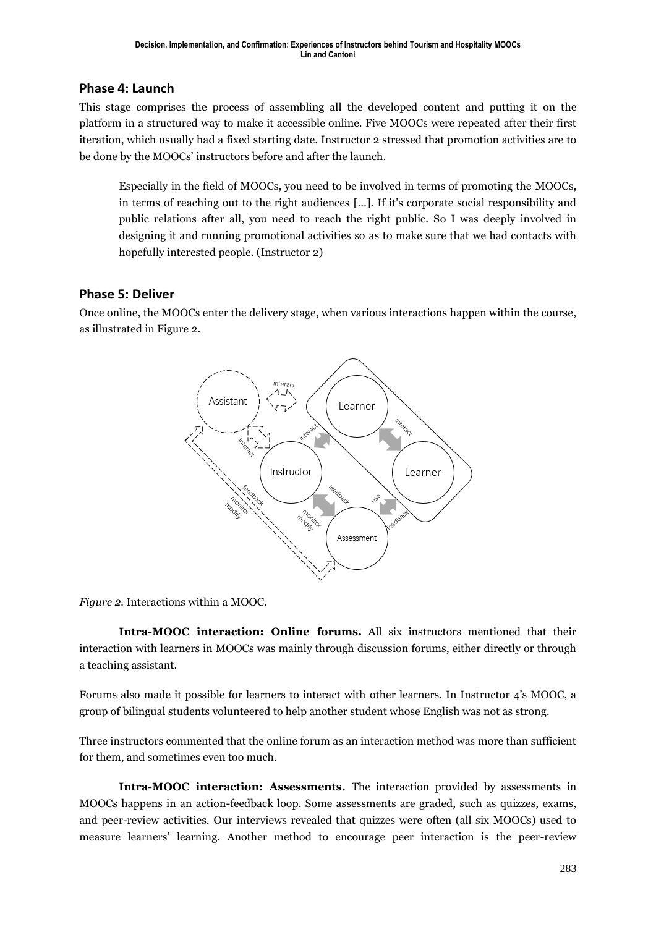#### **Phase 4: Launch**

This stage comprises the process of assembling all the developed content and putting it on the platform in a structured way to make it accessible online. Five MOOCs were repeated after their first iteration, which usually had a fixed starting date. Instructor 2 stressed that promotion activities are to be done by the MOOCs' instructors before and after the launch.

Especially in the field of MOOCs, you need to be involved in terms of promoting the MOOCs, in terms of reaching out to the right audiences […]. If it's corporate social responsibility and public relations after all, you need to reach the right public. So I was deeply involved in designing it and running promotional activities so as to make sure that we had contacts with hopefully interested people. (Instructor 2)

#### **Phase 5: Deliver**

Once online, the MOOCs enter the delivery stage, when various interactions happen within the course, as illustrated in Figure 2.



*Figure 2.* Interactions within a MOOC.

**Intra-MOOC interaction: Online forums.** All six instructors mentioned that their interaction with learners in MOOCs was mainly through discussion forums, either directly or through a teaching assistant.

Forums also made it possible for learners to interact with other learners. In Instructor 4's MOOC, a group of bilingual students volunteered to help another student whose English was not as strong.

Three instructors commented that the online forum as an interaction method was more than sufficient for them, and sometimes even too much.

**Intra-MOOC interaction: Assessments.** The interaction provided by assessments in MOOCs happens in an action-feedback loop. Some assessments are graded, such as quizzes, exams, and peer-review activities. Our interviews revealed that quizzes were often (all six MOOCs) used to measure learners' learning. Another method to encourage peer interaction is the peer-review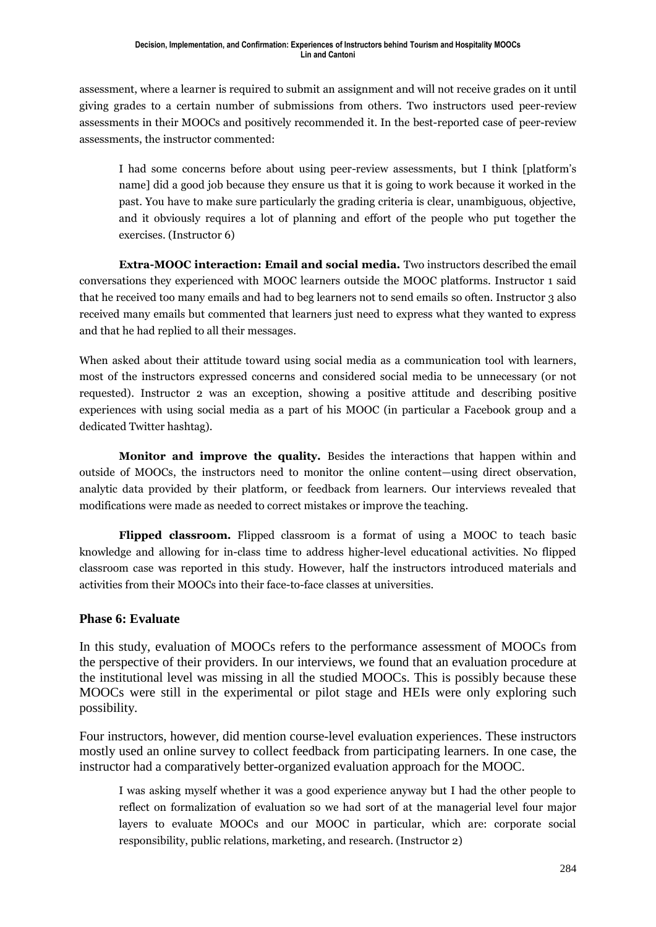assessment, where a learner is required to submit an assignment and will not receive grades on it until giving grades to a certain number of submissions from others. Two instructors used peer-review assessments in their MOOCs and positively recommended it. In the best-reported case of peer-review assessments, the instructor commented:

I had some concerns before about using peer-review assessments, but I think [platform's name] did a good job because they ensure us that it is going to work because it worked in the past. You have to make sure particularly the grading criteria is clear, unambiguous, objective, and it obviously requires a lot of planning and effort of the people who put together the exercises. (Instructor 6)

**Extra-MOOC interaction: Email and social media.** Two instructors described the email conversations they experienced with MOOC learners outside the MOOC platforms. Instructor 1 said that he received too many emails and had to beg learners not to send emails so often. Instructor 3 also received many emails but commented that learners just need to express what they wanted to express and that he had replied to all their messages.

When asked about their attitude toward using social media as a communication tool with learners, most of the instructors expressed concerns and considered social media to be unnecessary (or not requested). Instructor 2 was an exception, showing a positive attitude and describing positive experiences with using social media as a part of his MOOC (in particular a Facebook group and a dedicated Twitter hashtag).

**Monitor and improve the quality.** Besides the interactions that happen within and outside of MOOCs, the instructors need to monitor the online content—using direct observation, analytic data provided by their platform, or feedback from learners. Our interviews revealed that modifications were made as needed to correct mistakes or improve the teaching.

**Flipped classroom.** Flipped classroom is a format of using a MOOC to teach basic knowledge and allowing for in-class time to address higher-level educational activities. No flipped classroom case was reported in this study. However, half the instructors introduced materials and activities from their MOOCs into their face-to-face classes at universities.

#### **Phase 6: Evaluate**

In this study, evaluation of MOOCs refers to the performance assessment of MOOCs from the perspective of their providers. In our interviews, we found that an evaluation procedure at the institutional level was missing in all the studied MOOCs. This is possibly because these MOOCs were still in the experimental or pilot stage and HEIs were only exploring such possibility.

Four instructors, however, did mention course-level evaluation experiences. These instructors mostly used an online survey to collect feedback from participating learners. In one case, the instructor had a comparatively better-organized evaluation approach for the MOOC.

I was asking myself whether it was a good experience anyway but I had the other people to reflect on formalization of evaluation so we had sort of at the managerial level four major layers to evaluate MOOCs and our MOOC in particular, which are: corporate social responsibility, public relations, marketing, and research. (Instructor 2)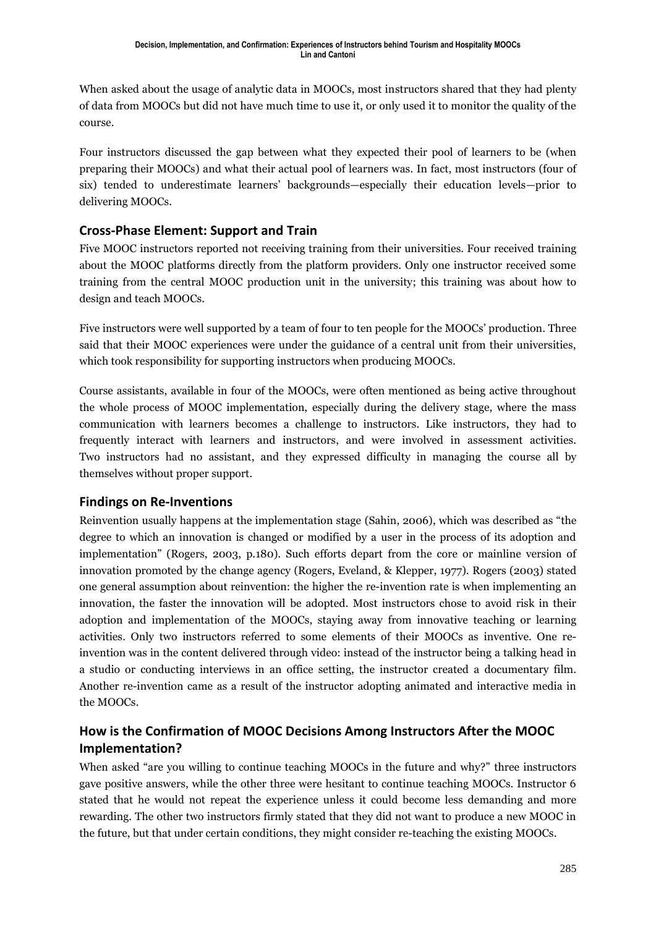When asked about the usage of analytic data in MOOCs, most instructors shared that they had plenty of data from MOOCs but did not have much time to use it, or only used it to monitor the quality of the course.

Four instructors discussed the gap between what they expected their pool of learners to be (when preparing their MOOCs) and what their actual pool of learners was. In fact, most instructors (four of six) tended to underestimate learners' backgrounds—especially their education levels—prior to delivering MOOCs.

#### **Cross-Phase Element: Support and Train**

Five MOOC instructors reported not receiving training from their universities. Four received training about the MOOC platforms directly from the platform providers. Only one instructor received some training from the central MOOC production unit in the university; this training was about how to design and teach MOOCs.

Five instructors were well supported by a team of four to ten people for the MOOCs' production. Three said that their MOOC experiences were under the guidance of a central unit from their universities, which took responsibility for supporting instructors when producing MOOCs.

Course assistants, available in four of the MOOCs, were often mentioned as being active throughout the whole process of MOOC implementation, especially during the delivery stage, where the mass communication with learners becomes a challenge to instructors. Like instructors, they had to frequently interact with learners and instructors, and were involved in assessment activities. Two instructors had no assistant, and they expressed difficulty in managing the course all by themselves without proper support.

#### **Findings on Re-Inventions**

Reinvention usually happens at the implementation stage (Sahin, 2006), which was described as "the degree to which an innovation is changed or modified by a user in the process of its adoption and implementation" (Rogers, 2003, p.180). Such efforts depart from the core or mainline version of innovation promoted by the change agency (Rogers, Eveland, & Klepper, 1977). Rogers (2003) stated one general assumption about reinvention: the higher the re-invention rate is when implementing an innovation, the faster the innovation will be adopted. Most instructors chose to avoid risk in their adoption and implementation of the MOOCs, staying away from innovative teaching or learning activities. Only two instructors referred to some elements of their MOOCs as inventive. One reinvention was in the content delivered through video: instead of the instructor being a talking head in a studio or conducting interviews in an office setting, the instructor created a documentary film. Another re-invention came as a result of the instructor adopting animated and interactive media in the MOOCs.

### **How is the Confirmation of MOOC Decisions Among Instructors After the MOOC Implementation?**

When asked "are you willing to continue teaching MOOCs in the future and why?" three instructors gave positive answers, while the other three were hesitant to continue teaching MOOCs. Instructor 6 stated that he would not repeat the experience unless it could become less demanding and more rewarding. The other two instructors firmly stated that they did not want to produce a new MOOC in the future, but that under certain conditions, they might consider re-teaching the existing MOOCs.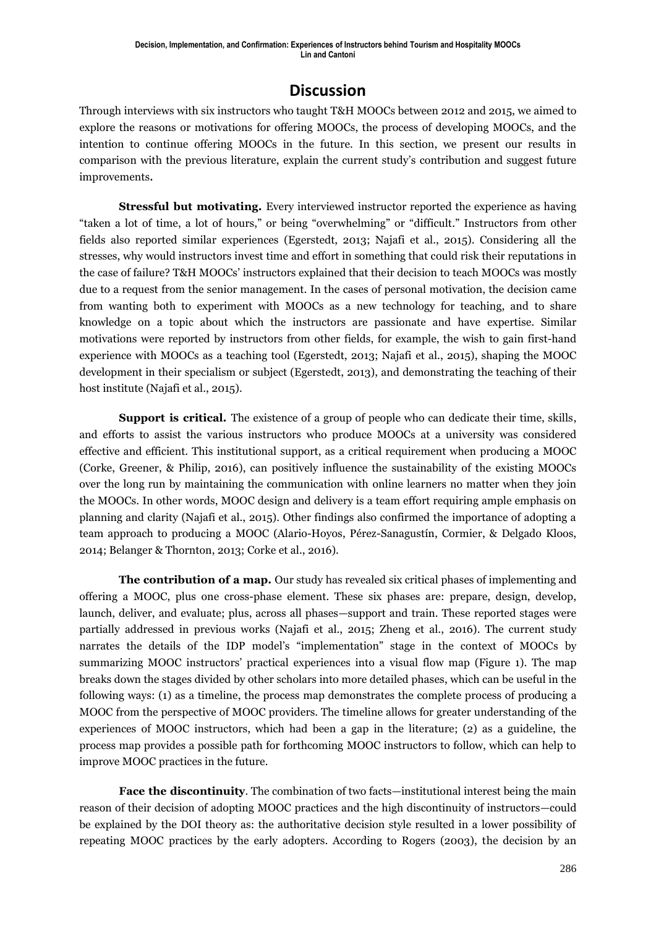# **Discussion**

Through interviews with six instructors who taught T&H MOOCs between 2012 and 2015, we aimed to explore the reasons or motivations for offering MOOCs, the process of developing MOOCs, and the intention to continue offering MOOCs in the future. In this section, we present our results in comparison with the previous literature, explain the current study's contribution and suggest future improvements.

**Stressful but motivating.** Every interviewed instructor reported the experience as having "taken a lot of time, a lot of hours," or being "overwhelming" or "difficult." Instructors from other fields also reported similar experiences (Egerstedt, 2013; Najafi et al., 2015). Considering all the stresses, why would instructors invest time and effort in something that could risk their reputations in the case of failure? T&H MOOCs' instructors explained that their decision to teach MOOCs was mostly due to a request from the senior management. In the cases of personal motivation, the decision came from wanting both to experiment with MOOCs as a new technology for teaching, and to share knowledge on a topic about which the instructors are passionate and have expertise. Similar motivations were reported by instructors from other fields, for example, the wish to gain first-hand experience with MOOCs as a teaching tool (Egerstedt, 2013; Najafi et al., 2015), shaping the MOOC development in their specialism or subject (Egerstedt, 2013), and demonstrating the teaching of their host institute (Najafi et al., 2015).

**Support is critical.** The existence of a group of people who can dedicate their time, skills, and efforts to assist the various instructors who produce MOOCs at a university was considered effective and efficient. This institutional support, as a critical requirement when producing a MOOC (Corke, Greener, & Philip, 2016), can positively influence the sustainability of the existing MOOCs over the long run by maintaining the communication with online learners no matter when they join the MOOCs. In other words, MOOC design and delivery is a team effort requiring ample emphasis on planning and clarity (Najafi et al., 2015). Other findings also confirmed the importance of adopting a team approach to producing a MOOC (Alario-Hoyos, Pérez-Sanagustín, Cormier, & Delgado Kloos, 2014; Belanger & Thornton, 2013; Corke et al., 2016).

**The contribution of a map.** Our study has revealed six critical phases of implementing and offering a MOOC, plus one cross-phase element. These six phases are: prepare, design, develop, launch, deliver, and evaluate; plus, across all phases—support and train. These reported stages were partially addressed in previous works (Najafi et al., 2015; Zheng et al., 2016). The current study narrates the details of the IDP model's "implementation" stage in the context of MOOCs by summarizing MOOC instructors' practical experiences into a visual flow map (Figure 1). The map breaks down the stages divided by other scholars into more detailed phases, which can be useful in the following ways: (1) as a timeline, the process map demonstrates the complete process of producing a MOOC from the perspective of MOOC providers. The timeline allows for greater understanding of the experiences of MOOC instructors, which had been a gap in the literature; (2) as a guideline, the process map provides a possible path for forthcoming MOOC instructors to follow, which can help to improve MOOC practices in the future.

**Face the discontinuity**. The combination of two facts—institutional interest being the main reason of their decision of adopting MOOC practices and the high discontinuity of instructors—could be explained by the DOI theory as: the authoritative decision style resulted in a lower possibility of repeating MOOC practices by the early adopters. According to Rogers (2003), the decision by an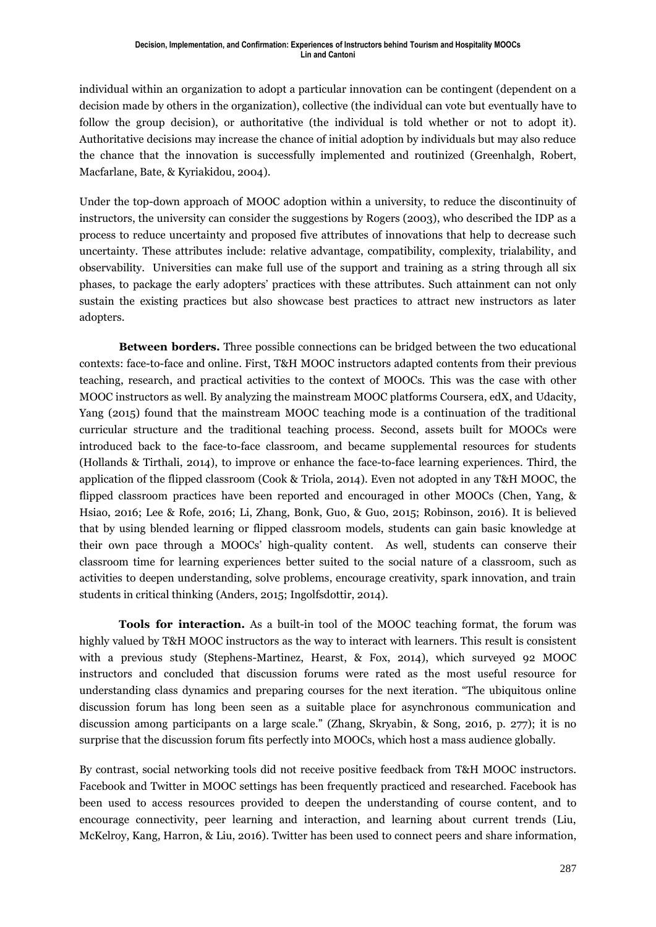individual within an organization to adopt a particular innovation can be contingent (dependent on a decision made by others in the organization), collective (the individual can vote but eventually have to follow the group decision), or authoritative (the individual is told whether or not to adopt it). Authoritative decisions may increase the chance of initial adoption by individuals but may also reduce the chance that the innovation is successfully implemented and routinized (Greenhalgh, Robert, Macfarlane, Bate, & Kyriakidou, 2004).

Under the top-down approach of MOOC adoption within a university, to reduce the discontinuity of instructors, the university can consider the suggestions by Rogers (2003), who described the IDP as a process to reduce uncertainty and proposed five attributes of innovations that help to decrease such uncertainty. These attributes include: relative advantage, compatibility, complexity, trialability, and observability. Universities can make full use of the support and training as a string through all six phases, to package the early adopters' practices with these attributes. Such attainment can not only sustain the existing practices but also showcase best practices to attract new instructors as later adopters.

**Between borders.** Three possible connections can be bridged between the two educational contexts: face-to-face and online. First, T&H MOOC instructors adapted contents from their previous teaching, research, and practical activities to the context of MOOCs. This was the case with other MOOC instructors as well. By analyzing the mainstream MOOC platforms Coursera, edX, and Udacity, Yang (2015) found that the mainstream MOOC teaching mode is a continuation of the traditional curricular structure and the traditional teaching process. Second, assets built for MOOCs were introduced back to the face-to-face classroom, and became supplemental resources for students (Hollands & Tirthali, 2014), to improve or enhance the face-to-face learning experiences. Third, the application of the flipped classroom (Cook & Triola, 2014). Even not adopted in any T&H MOOC, the flipped classroom practices have been reported and encouraged in other MOOCs (Chen, Yang, & Hsiao, 2016; Lee & Rofe, 2016; Li, Zhang, Bonk, Guo, & Guo, 2015; Robinson, 2016). It is believed that by using blended learning or flipped classroom models, students can gain basic knowledge at their own pace through a MOOCs' high-quality content. As well, students can conserve their classroom time for learning experiences better suited to the social nature of a classroom, such as activities to deepen understanding, solve problems, encourage creativity, spark innovation, and train students in critical thinking (Anders, 2015; Ingolfsdottir, 2014).

**Tools for interaction.** As a built-in tool of the MOOC teaching format, the forum was highly valued by T&H MOOC instructors as the way to interact with learners. This result is consistent with a previous study (Stephens-Martinez, Hearst, & Fox, 2014), which surveyed 92 MOOC instructors and concluded that discussion forums were rated as the most useful resource for understanding class dynamics and preparing courses for the next iteration. "The ubiquitous online discussion forum has long been seen as a suitable place for asynchronous communication and discussion among participants on a large scale." (Zhang, Skryabin, & Song, 2016, p. 277); it is no surprise that the discussion forum fits perfectly into MOOCs, which host a mass audience globally.

By contrast, social networking tools did not receive positive feedback from T&H MOOC instructors. Facebook and Twitter in MOOC settings has been frequently practiced and researched. Facebook has been used to access resources provided to deepen the understanding of course content, and to encourage connectivity, peer learning and interaction, and learning about current trends (Liu, McKelroy, Kang, Harron, & Liu, 2016). Twitter has been used to connect peers and share information,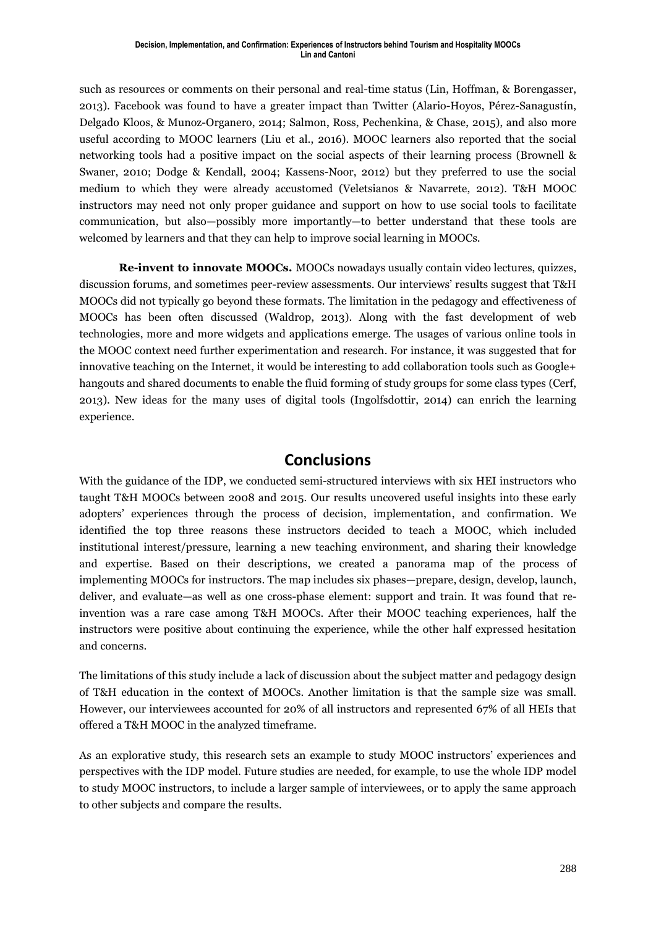such as resources or comments on their personal and real-time status (Lin, Hoffman, & Borengasser, 2013). Facebook was found to have a greater impact than Twitter (Alario-Hoyos, Pérez-Sanagustín, Delgado Kloos, & Munoz-Organero, 2014; Salmon, Ross, Pechenkina, & Chase, 2015), and also more useful according to MOOC learners (Liu et al., 2016). MOOC learners also reported that the social networking tools had a positive impact on the social aspects of their learning process (Brownell & Swaner, 2010; Dodge & Kendall, 2004; Kassens-Noor, 2012) but they preferred to use the social medium to which they were already accustomed (Veletsianos & Navarrete, 2012). T&H MOOC instructors may need not only proper guidance and support on how to use social tools to facilitate communication, but also—possibly more importantly—to better understand that these tools are welcomed by learners and that they can help to improve social learning in MOOCs.

**Re-invent to innovate MOOCs.** MOOCs nowadays usually contain video lectures, quizzes, discussion forums, and sometimes peer-review assessments. Our interviews' results suggest that T&H MOOCs did not typically go beyond these formats. The limitation in the pedagogy and effectiveness of MOOCs has been often discussed (Waldrop, 2013). Along with the fast development of web technologies, more and more widgets and applications emerge. The usages of various online tools in the MOOC context need further experimentation and research. For instance, it was suggested that for innovative teaching on the Internet, it would be interesting to add collaboration tools such as Google+ hangouts and shared documents to enable the fluid forming of study groups for some class types (Cerf, 2013). New ideas for the many uses of digital tools (Ingolfsdottir, 2014) can enrich the learning experience.

### **Conclusions**

With the guidance of the IDP, we conducted semi-structured interviews with six HEI instructors who taught T&H MOOCs between 2008 and 2015. Our results uncovered useful insights into these early adopters' experiences through the process of decision, implementation, and confirmation. We identified the top three reasons these instructors decided to teach a MOOC, which included institutional interest/pressure, learning a new teaching environment, and sharing their knowledge and expertise. Based on their descriptions, we created a panorama map of the process of implementing MOOCs for instructors. The map includes six phases—prepare, design, develop, launch, deliver, and evaluate—as well as one cross-phase element: support and train. It was found that reinvention was a rare case among T&H MOOCs. After their MOOC teaching experiences, half the instructors were positive about continuing the experience, while the other half expressed hesitation and concerns.

The limitations of this study include a lack of discussion about the subject matter and pedagogy design of T&H education in the context of MOOCs. Another limitation is that the sample size was small. However, our interviewees accounted for 20% of all instructors and represented 67% of all HEIs that offered a T&H MOOC in the analyzed timeframe.

As an explorative study, this research sets an example to study MOOC instructors' experiences and perspectives with the IDP model. Future studies are needed, for example, to use the whole IDP model to study MOOC instructors, to include a larger sample of interviewees, or to apply the same approach to other subjects and compare the results.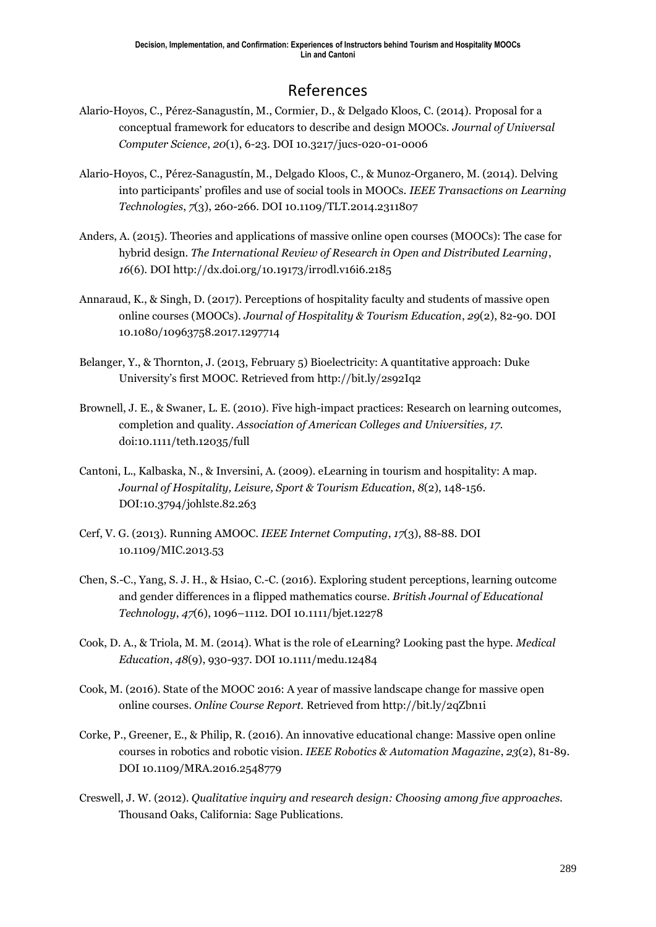# References

- Alario-Hoyos, C., Pérez-Sanagustín, M., Cormier, D., & Delgado Kloos, C. (2014). Proposal for a conceptual framework for educators to describe and design MOOCs. *Journal of Universal Computer Science*, *20*(1), 6-23. DOI 10.3217/jucs-020-01-0006
- Alario-Hoyos, C., Pérez-Sanagustín, M., Delgado Kloos, C., & Munoz-Organero, M. (2014). Delving into participants' profiles and use of social tools in MOOCs. *IEEE Transactions on Learning Technologies*, *7*(3), 260-266. DOI 10.1109/TLT.2014.2311807
- Anders, A. (2015). Theories and applications of massive online open courses (MOOCs): The case for hybrid design. *The International Review of Research in Open and Distributed Learning*, *16*(6). DOI http://dx.doi.org/10.19173/irrodl.v16i6.2185
- Annaraud, K., & Singh, D. (2017). Perceptions of hospitality faculty and students of massive open online courses (MOOCs). *Journal of Hospitality & Tourism Education*, *29*(2), 82-90. DOI 10.1080/10963758.2017.1297714
- Belanger, Y., & Thornton, J. (2013, February 5) Bioelectricity: A quantitative approach: Duke University's first MOOC. Retrieved from http://bit.ly/2s92Iq2
- Brownell, J. E., & Swaner, L. E. (2010). Five high-impact practices: Research on learning outcomes, completion and quality. *Association of American Colleges and Universities, 17*. doi:10.1111/teth.12035/full
- Cantoni, L., Kalbaska, N., & Inversini, A. (2009). eLearning in tourism and hospitality: A map. *Journal of Hospitality, Leisure, Sport & Tourism Education*, *8*(2), 148-156. DOI:10.3794/johlste.82.263
- Cerf, V. G. (2013). Running AMOOC. *IEEE Internet Computing*, *17*(3), 88-88. DOI 10.1109/MIC.2013.53
- Chen, S.-C., Yang, S. J. H., & Hsiao, C.-C. (2016). Exploring student perceptions, learning outcome and gender differences in a flipped mathematics course. *British Journal of Educational Technology*, *47*(6), 1096–1112. DOI 10.1111/bjet.12278
- Cook, D. A., & Triola, M. M. (2014). What is the role of eLearning? Looking past the hype. *Medical Education*, *48*(9), 930-937. DOI 10.1111/medu.12484
- Cook, M. (2016). State of the MOOC 2016: A year of massive landscape change for massive open online courses. *Online Course Report.* Retrieved from http://bit.ly/2qZbn1i
- Corke, P., Greener, E., & Philip, R. (2016). An innovative educational change: Massive open online courses in robotics and robotic vision. *IEEE Robotics & Automation Magazine*, *23*(2), 81-89. DOI 10.1109/MRA.2016.2548779
- Creswell, J. W. (2012). *Qualitative inquiry and research design: Choosing among five approaches.* Thousand Oaks, California: Sage Publications.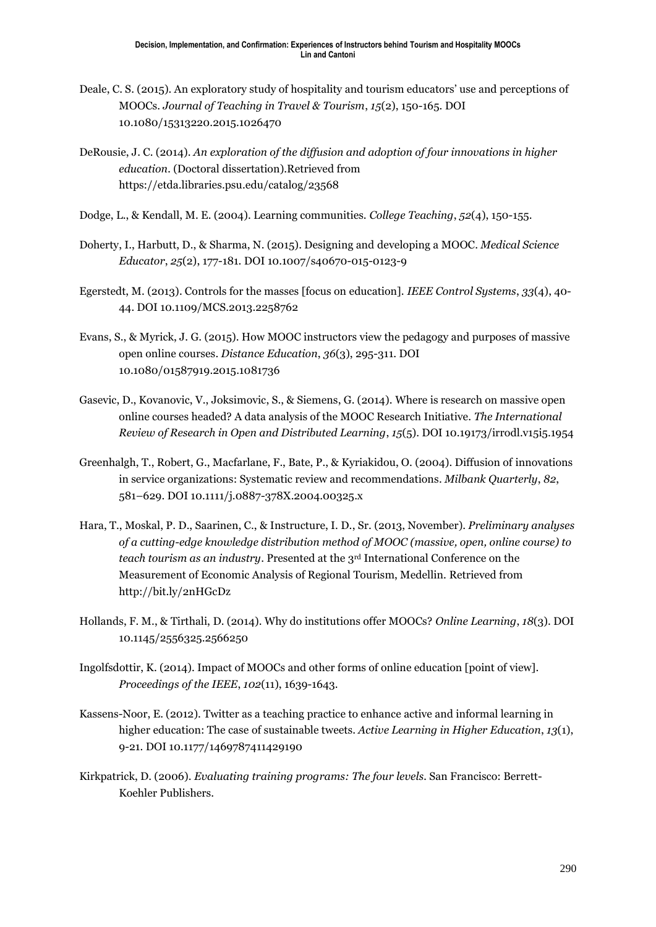- Deale, C. S. (2015). An exploratory study of hospitality and tourism educators' use and perceptions of MOOCs. *Journal of Teaching in Travel & Tourism*, *15*(2), 150-165. DOI 10.1080/15313220.2015.1026470
- DeRousie, J. C. (2014). *An exploration of the diffusion and adoption of four innovations in higher education.* (Doctoral dissertation).Retrieved from https://etda.libraries.psu.edu/catalog/23568
- Dodge, L., & Kendall, M. E. (2004). Learning communities. *College Teaching*, *52*(4), 150-155.
- Doherty, I., Harbutt, D., & Sharma, N. (2015). Designing and developing a MOOC. *Medical Science Educator*, *25*(2), 177-181. DOI 10.1007/s40670-015-0123-9
- Egerstedt, M. (2013). Controls for the masses [focus on education]. *IEEE Control Systems*, *33*(4), 40- 44. DOI 10.1109/MCS.2013.2258762
- Evans, S., & Myrick, J. G. (2015). How MOOC instructors view the pedagogy and purposes of massive open online courses. *Distance Education*, *36*(3), 295-311. DOI 10.1080/01587919.2015.1081736
- Gasevic, D., Kovanovic, V., Joksimovic, S., & Siemens, G. (2014). Where is research on massive open online courses headed? A data analysis of the MOOC Research Initiative. *The International Review of Research in Open and Distributed Learning*, *15*(5). DOI 10.19173/irrodl.v15i5.1954
- Greenhalgh, T., Robert, G., Macfarlane, F., Bate, P., & Kyriakidou, O. (2004). Diffusion of innovations in service organizations: Systematic review and recommendations. *Milbank Quarterly*, *82*, 581–629. DOI 10.1111/j.0887-378X.2004.00325.x
- Hara, T., Moskal, P. D., Saarinen, C., & Instructure, I. D., Sr. (2013, November). *Preliminary analyses of a cutting-edge knowledge distribution method of MOOC (massive, open, online course) to teach tourism as an industry*. Presented at the 3rd International Conference on the Measurement of Economic Analysis of Regional Tourism, Medellin. Retrieved from http://bit.ly/2nHGcDz
- Hollands, F. M., & Tirthali, D. (2014). Why do institutions offer MOOCs? *Online Learning*, *18*(3). DOI 10.1145/2556325.2566250
- Ingolfsdottir, K. (2014). Impact of MOOCs and other forms of online education [point of view]. *Proceedings of the IEEE*, *102*(11), 1639-1643.
- Kassens-Noor, E. (2012). Twitter as a teaching practice to enhance active and informal learning in higher education: The case of sustainable tweets. *Active Learning in Higher Education*, *13*(1), 9-21. DOI 10.1177/1469787411429190
- Kirkpatrick, D. (2006). *Evaluating training programs: The four levels.* San Francisco: Berrett-Koehler Publishers.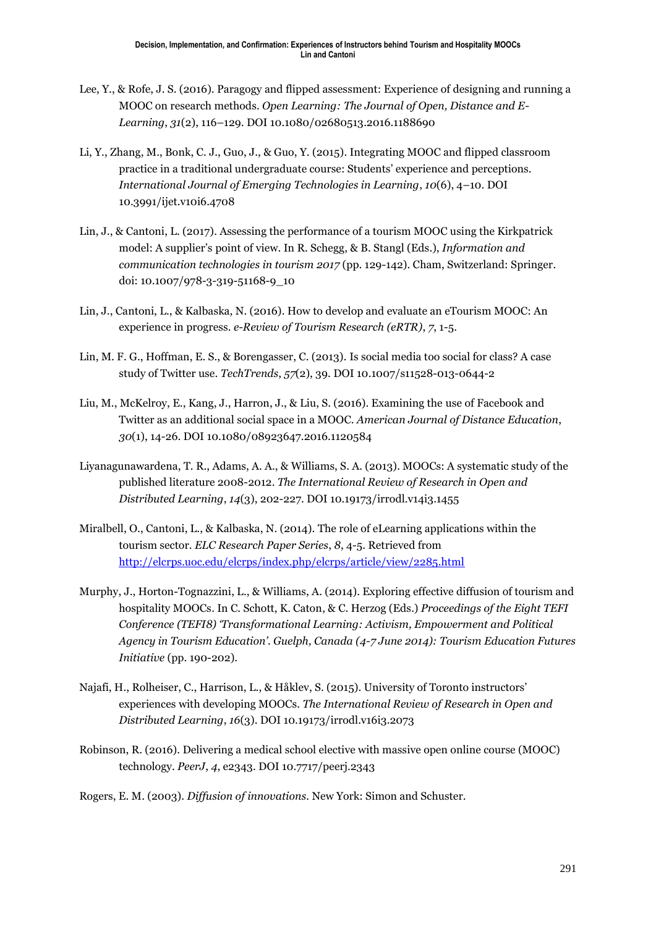- Lee, Y., & Rofe, J. S. (2016). Paragogy and flipped assessment: Experience of designing and running a MOOC on research methods. *Open Learning: The Journal of Open, Distance and E-Learning*, *31*(2), 116–129. DOI 10.1080/02680513.2016.1188690
- Li, Y., Zhang, M., Bonk, C. J., Guo, J., & Guo, Y. (2015). Integrating MOOC and flipped classroom practice in a traditional undergraduate course: Students' experience and perceptions. *International Journal of Emerging Technologies in Learning*, *10*(6), 4–10. DOI 10.3991/ijet.v10i6.4708
- Lin, J., & Cantoni, L. (2017). Assessing the performance of a tourism MOOC using the Kirkpatrick model: A supplier's point of view. In R. Schegg, & B. Stangl (Eds.), *Information and communication technologies in tourism 2017* (pp. 129-142). Cham, Switzerland: Springer. doi: 10.1007/978-3-319-51168-9\_10
- Lin, J., Cantoni, L., & Kalbaska, N. (2016). How to develop and evaluate an eTourism MOOC: An experience in progress. *e-Review of Tourism Research (eRTR)*, *7*, 1-5.
- Lin, M. F. G., Hoffman, E. S., & Borengasser, C. (2013). Is social media too social for class? A case study of Twitter use. *TechTrends*, *57*(2), 39. DOI 10.1007/s11528-013-0644-2
- Liu, M., McKelroy, E., Kang, J., Harron, J., & Liu, S. (2016). Examining the use of Facebook and Twitter as an additional social space in a MOOC. *American Journal of Distance Education*, *30*(1), 14-26. DOI 10.1080/08923647.2016.1120584
- Liyanagunawardena, T. R., Adams, A. A., & Williams, S. A. (2013). MOOCs: A systematic study of the published literature 2008-2012. *The International Review of Research in Open and Distributed Learning*, *14*(3), 202-227. DOI 10.19173/irrodl.v14i3.1455
- Miralbell, O., Cantoni, L., & Kalbaska, N. (2014). The role of eLearning applications within the tourism sector. *ELC Research Paper Series*, *8*, 4-5. Retrieved from <http://elcrps.uoc.edu/elcrps/index.php/elcrps/article/view/2285.html>
- Murphy, J., Horton-Tognazzini, L., & Williams, A. (2014). Exploring effective diffusion of tourism and hospitality MOOCs. In C. Schott, K. Caton, & C. Herzog (Eds.) *Proceedings of the Eight TEFI Conference (TEFI8) 'Transformational Learning: Activism, Empowerment and Political Agency in Tourism Education'. Guelph, Canada (4-7 June 2014): Tourism Education Futures Initiative* (pp. 190-202).
- Najafi, H., Rolheiser, C., Harrison, L., & Håklev, S. (2015). University of Toronto instructors' experiences with developing MOOCs. *The International Review of Research in Open and Distributed Learning*, *16*(3). DOI 10.19173/irrodl.v16i3.2073
- Robinson, R. (2016). Delivering a medical school elective with massive open online course (MOOC) technology. *PeerJ*, *4*, e2343. DOI 10.7717/peerj.2343

Rogers, E. M. (2003). *Diffusion of innovations.* New York: Simon and Schuster.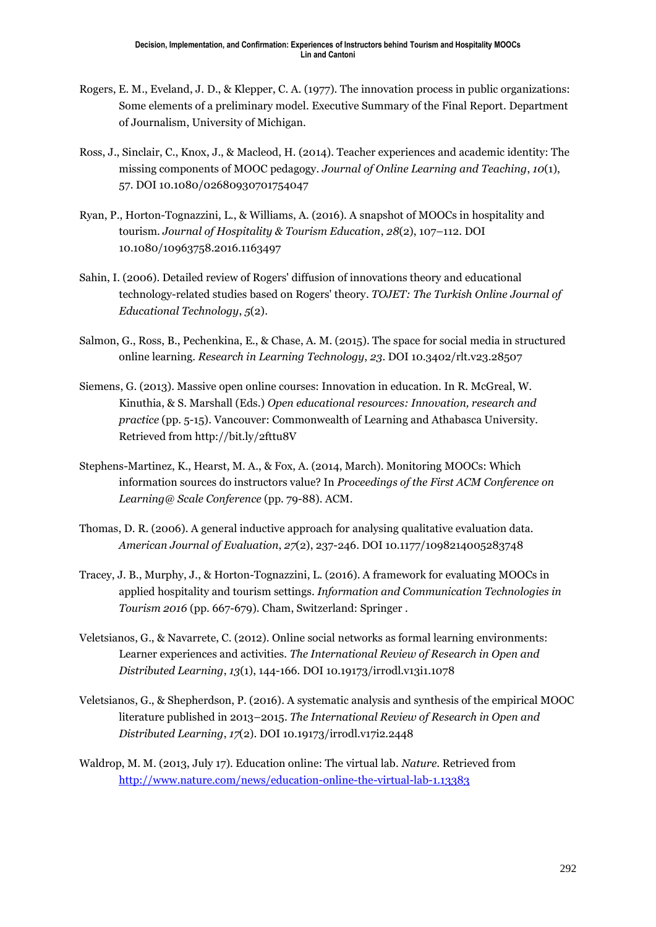- Rogers, E. M., Eveland, J. D., & Klepper, C. A. (1977). The innovation process in public organizations: Some elements of a preliminary model. Executive Summary of the Final Report. Department of Journalism, University of Michigan.
- Ross, J., Sinclair, C., Knox, J., & Macleod, H. (2014). Teacher experiences and academic identity: The missing components of MOOC pedagogy. *Journal of Online Learning and Teaching*, *10*(1), 57. DOI 10.1080/02680930701754047
- Ryan, P., Horton-Tognazzini, L., & Williams, A. (2016). A snapshot of MOOCs in hospitality and tourism. *Journal of Hospitality & Tourism Education*, *28*(2), 107–112. DOI 10.1080/10963758.2016.1163497
- Sahin, I. (2006). Detailed review of Rogers' diffusion of innovations theory and educational technology-related studies based on Rogers' theory. *TOJET: The Turkish Online Journal of Educational Technology*, *5*(2).
- Salmon, G., Ross, B., Pechenkina, E., & Chase, A. M. (2015). The space for social media in structured online learning. *Research in Learning Technology*, *23*. DOI 10.3402/rlt.v23.28507
- Siemens, G. (2013). Massive open online courses: Innovation in education. In R. McGreal, W. Kinuthia, & S. Marshall (Eds.) *Open educational resources: Innovation, research and practice* (pp. 5-15). Vancouver: Commonwealth of Learning and Athabasca University. Retrieved from http://bit.ly/2fttu8V
- Stephens-Martinez, K., Hearst, M. A., & Fox, A. (2014, March). Monitoring MOOCs: Which information sources do instructors value? In *Proceedings of the First ACM Conference on Learning@ Scale Conference* (pp. 79-88). ACM.
- Thomas, D. R. (2006). A general inductive approach for analysing qualitative evaluation data. *American Journal of Evaluation*, *27*(2), 237-246. DOI 10.1177/1098214005283748
- Tracey, J. B., Murphy, J., & Horton-Tognazzini, L. (2016). A framework for evaluating MOOCs in applied hospitality and tourism settings. *Information and Communication Technologies in Tourism 2016* (pp. 667-679). Cham, Switzerland: Springer .
- Veletsianos, G., & Navarrete, C. (2012). Online social networks as formal learning environments: Learner experiences and activities. *The International Review of Research in Open and Distributed Learning*, *13*(1), 144-166. DOI 10.19173/irrodl.v13i1.1078
- Veletsianos, G., & Shepherdson, P. (2016). A systematic analysis and synthesis of the empirical MOOC literature published in 2013–2015. *The International Review of Research in Open and Distributed Learning*, *17*(2). DOI 10.19173/irrodl.v17i2.2448
- Waldrop, M. M. (2013, July 17). Education online: The virtual lab. *Nature*. Retrieved from <http://www.nature.com/news/education-online-the-virtual-lab-1.13383>